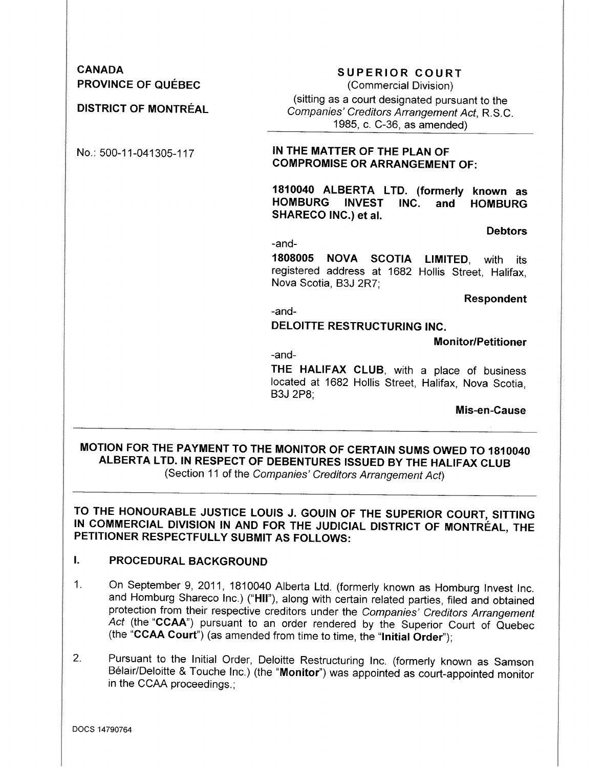CANADA PROVINCE OF QUEBEC

DISTRICT OF MONTREAL

# SUPERIOR COURT

(Commercial Division) (sitting as a court designated pursuant to the *Companies' Creditors Arrangement Act,* R.S.C. 1985, c. C-36, as amended)

## No.: 500-11-041305-117 IN THE MATTER OF THE PLAN OF COMPROMISE OR ARRANGEMENT OF:

1810040 ALBERTA LTD. (formerly known as HOMBURG INVEST INC. and HOMBURG SHARECO INC.) et al.

**Debtors** 

-and-

1808005 NOVA SCOTIA LIMITED, with its registered address at 1682 Hollis Street, Halifax, Nova Scotia, B3J 2R7;

Respondent

-and-

## DELOITTE RESTRUCTURING INC.

Monitor/Petitioner

-and-

THE HALIFAX CLUB, with a place of business located at 1682 Hollis Street, Halifax, Nova Scotia, B3J 2P8;

Mis-en-Cause

# MOTION FOR THE PAYMENT TO THE MONITOR OF CERTAIN SUMS OWED TO 1810040 ALBERTA LTD. IN RESPECT OF DEBENTURES ISSUED BY THE HALIFAX CLUB (Section 11 of the *Companies' Creditors Arrangement Act)*

TO THE HONOURABLE JUSTICE LOUIS J. GOUIN OF THE SUPERIOR COURT, SITTING IN COMMERCIAL DIVISION IN AND FOR THE JUDICIAL DISTRICT OF MONTREAL, THE PETITIONER RESPECTFULLY SUBMIT AS FOLLOWS:

# I. PROCEDURAL BACKGROUND

- 1. On September 9,2011, 1810040 Alberta Ltd. (formerly known as Homburg Invest Inc. and Homburg Shareco Inc.) ("HII"), along with certain related parties, filed and obtained protection from their respective creditors under the *Companies' Creditors Arrangement* Act (the "CCAA") pursuant to an order rendered by the Superior Court of Quebec (the "CCAA Court") (as amended from time to time, the "Initial Order");
- 2. Pursuant to the Initial Order, Deloitte Restructuring Inc. (formerly known as Samson Belair/Deloitte & Touche Inc.) (the "Monitor") was appointed as court-appointed monitor in the CCAA proceedings.;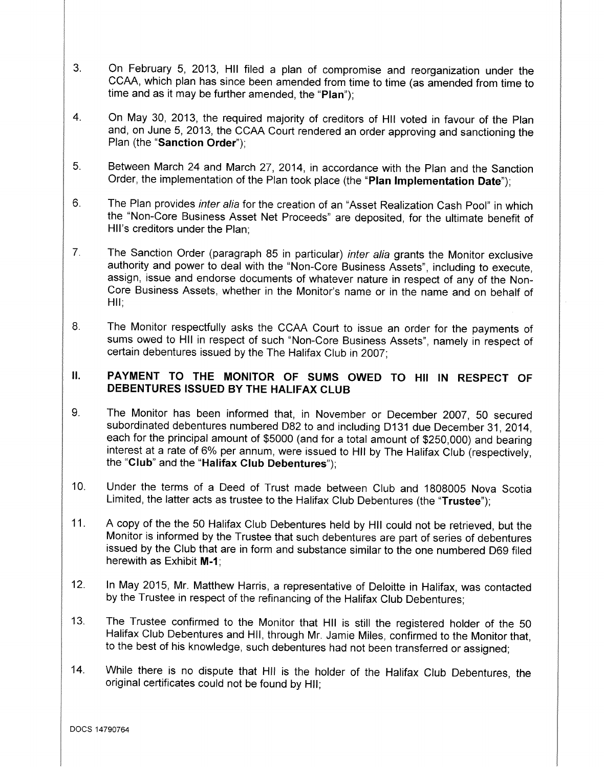- 3. On February 5, 2013, HII filed a plan of compromise and reorganization under the CCAA, which plan has since been amended from time to time (as amended from time to time and as it may be further amended, the "Plan");
- 4. On May 30, 2013, the required majority of creditors of HII voted in favour of the Plan and, on June 5, 2013, the CCAA Court rendered an order approving and sanctioning the Plan (the "Sanction Order");
- 5. Between March 24 and March 27, 2014, in accordance with the Plan and the Sanction Order, the implementation of the Plan took place (the "Plan Implementation Date");
- 6. The Plan provides *inter alia* for the creation of an "Asset Realization Cash Pool" in which the "Non-Core Business Asset Net Proceeds" are deposited, for the ultimate benefit of Hil's creditors under the Plan;
- 7. The Sanction Order (paragraph 85 in particular) *inter alia* grants the Monitor exclusive authority and power to deal with the "Non-Core Business Assets", including to execute, assign, issue and endorse documents of whatever nature in respect of any of the Non-Core Business Assets, whether in the Monitor's name or in the name and on behalf of HII:
- 8. The Monitor respectfully asks the CCAA Court to issue an order for the payments of sums owed to HII in respect of such "Non-Core Business Assets", namely in respect of certain debentures issued by the The Halifax Club in 2007;

# II. PAYMENT TO THE MONITOR OF SUMS OWED TO HII IN RESPECT OF DEBENTURES ISSUED BY THE HALIFAX CLUB

- 9. The Monitor has been informed that, in November or December 2007, 50 secured subordinated debentures numbered D82 to and including D131 due December 31, 2014, each for the principal amount of \$5000 (and for a total amount of \$250,000) and bearing interest at a rate of 6% per annum, were issued to HII by The Halifax Club (respectively, the "Club" and the "Halifax Club Debentures");
- 1O. Under the terms of a Deed of Trust made between Club and 1808005 Nova Scotia Limited, the latter acts as trustee to the Halifax Club Debentures (the "Trustee");
- 11. A copy of the the 50 Halifax Club Debentures held by HII could not be retrieved, but the Monitor is informed by the Trustee that such debentures are part of series of debentures issued by the Club that are in form and substance similar to the one numbered 069 filed herewith as Exhibit M-1;
- 12. In May 2015, Mr. Matthew Harris, a representative of Deloitte in Halifax, was contacted by the Trustee in respect of the refinancing of the Halifax Club Debentures;
- 13. The Trustee confirmed to the Monitor that HII is still the registered holder of the 50 Halifax Club Debentures and HII, through Mr. Jamie Miles, confirmed to the Monitor that, to the best of his knowledge, such debentures had not been transferred or assigned;
- 14. While there is no dispute that HII is the holder of the Halifax Club Debentures, the original certificates could not be found by HII;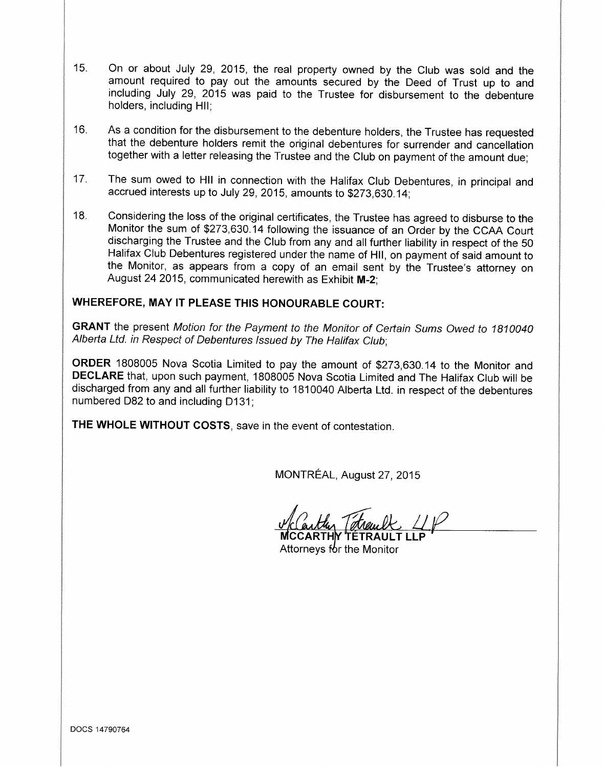- 15. On or about July 29, 2015, the real property owned by the Club was sold and the amount required to pay out the amounts secured by the Deed of Trust up to and including July 29, 2015 was paid to the Trustee for disbursement to the debenture holders, including HII;
- 16. As a condition for the disbursement to the debenture holders, the Trustee has requested that the debenture holders remit the original debentures for surrender and cancellation together with a letter releasing the Trustee and the Club on payment of the amount due;
- 17. The sum owed to **HII** in connection with the Halifax Club Debentures, in principal and accrued interests up to July 29, 2015, amounts to \$273,630.14;
- 18. Considering the loss of the original certificates, the Trustee has agreed to disburse to the Monitor the sum of \$273,630.14 following the issuance of an Order by the CCAA Court discharging the Trustee and the Club from any and all further liability in respect of the 50 Halifax Club Debentures registered under the name of **HII,** on payment of said amount to the Monitor, as appears from a copy of an email sent by the Trustee's attorney on August 24 2015, communicated herewith as Exhibit M-2;

# **WHEREFORE, MAY IT PLEASE THIS HONOURABLE COURT:**

**GRANT** the present *Motion for the Payment to the Monitor* of *Certain Sums Owed to 1810040 Alberta Ltd. in Respect* of *Debentures Issued by The Halifax Club;*

**ORDER** 1808005 Nova Scotia Limited to pay the amount of \$273,630.14 to the Monitor and **DECLARE** that, upon such payment, 1808005 Nova Scotia Limited and The Halifax Club will be discharged from any and all further liability to 1810040 Alberta Ltd. in respect of the debentures numbered 082 to and including 0131;

**THE WHOLE WITHOUT COSTS,** save in the event of contestation.

MONTREAL, August 27, 2015

**MCCARTHY** TETRAULT LLP

Attorneys for the Monitor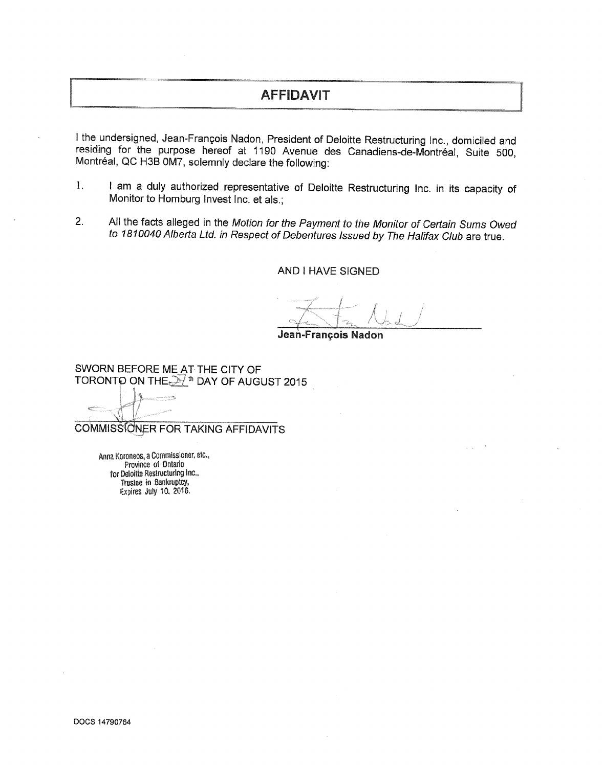# **AFFIDAVIT**

I the undersigned, Jean-Francois Nadon, President of Deloitte Restructuring Inc., domiciled and residing for the purpose hereof at 1190 Avenue des Canadiens-de-Montréal, Suite 500, Montréal, QC H3B 0M7, solemnly declare the following:

- 1. I am a duly authorized representative of Deloitte Restructuring Inc. in its capacity of Monitor to Homburg Invest Inc. et als.;
- 2. All the facts alleged in the *Motion for the Payment to the Monitor* of *Certain Sums Owed to 1810040 Alberta Ltd. in Respect* of *Debentures Issued by The Halifax Club* are true.

AND I HAVE SIGNED

.Iean-Francols **Nadon**

SWORN BEFORE ME AT THE CITY OF TORONTO ON THE  $\mathbb{H}^{\text{th}}$  DAY OF AUGUST 2015

COMMISSIONER FOR TAKING AFFIDAVITS

Anna Koroneos, a Commissioner, etc., Province of Ontario for Deloitte Restructuring Inc., Trustee in Bankruptcy, F.xpires July 10. 2016.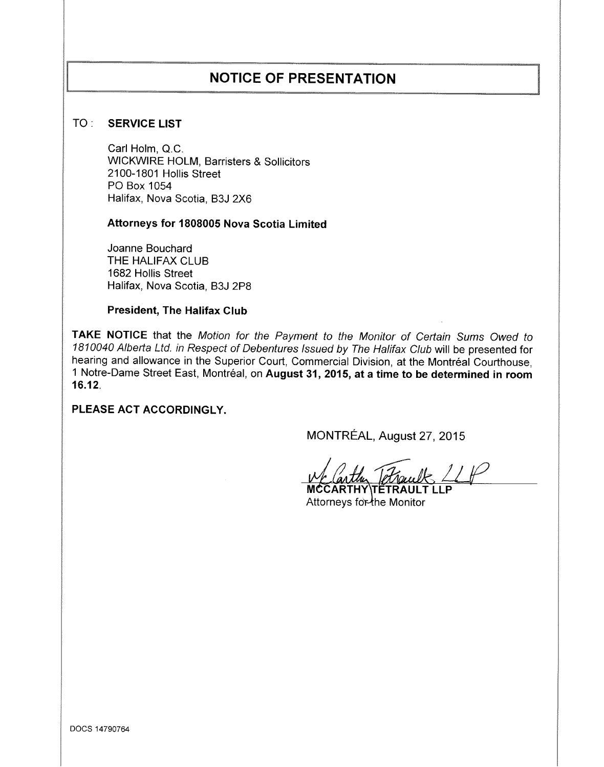# **NOTICE OF PRESENTATION**

## TO : SERVICE LIST

Carl Holm, Q.C. WICKWIRE HOLM, Barristers & Sollicitors 2100-1801 Hollis Street PO Box 1054 Halifax, Nova Scotia, B3J 2X6

Attorneys for 1808005 Nova Scotia Limited

Joanne Bouchard THE HALIFAX CLUB 1682 Hollis Street Halifax, Nova Scotia, B3J 2P8

### President, The Halifax Club

TAKE NOTICE that the *Motion for the Payment to the Monitor* of *Certain Sums Owed to 1810040 Alberta Ltd. in Respect* of *Debentures Issued by The Halifax Club* will be presented for hearing and allowance in the Superior Court, Commercial Division, at the Montréal Courthouse, 1 Notre-Dame Street East, Montréal, on August 31, 2015, at a time to be determined in room 16.12.

PLEASE ACT ACCORDINGLY.

MONTREAL, August 27,2015

MCCARTHY\TETRAULT LLP Attorneys for the Monitor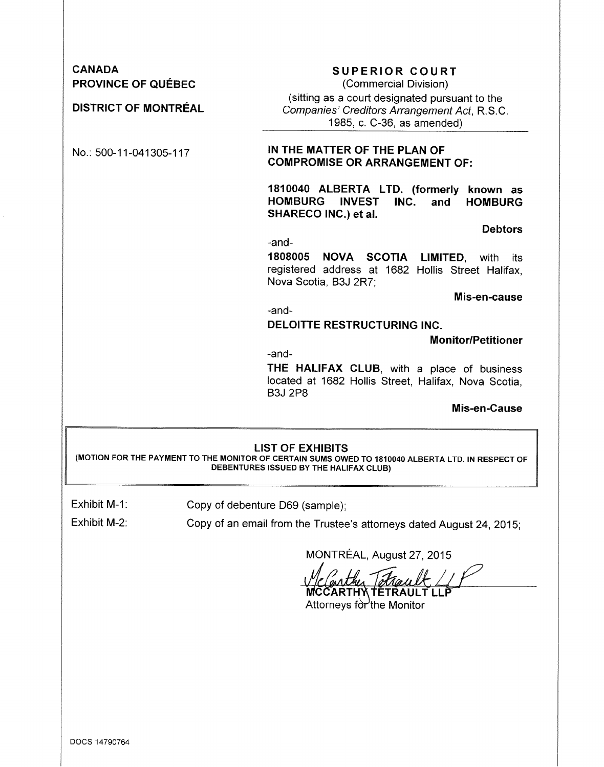| <b>CANADA</b><br><b>PROVINCE OF QUÉBEC</b> | <b>SUPERIOR COURT</b><br>(Commercial Division)                                                                                         |  |  |  |  |
|--------------------------------------------|----------------------------------------------------------------------------------------------------------------------------------------|--|--|--|--|
| <b>DISTRICT OF MONTRÉAL</b>                | (sitting as a court designated pursuant to the<br>Companies' Creditors Arrangement Act, R.S.C.<br>1985, c. C-36, as amended)           |  |  |  |  |
| No.: 500-11-041305-117                     | IN THE MATTER OF THE PLAN OF<br><b>COMPROMISE OR ARRANGEMENT OF:</b>                                                                   |  |  |  |  |
|                                            | 1810040 ALBERTA LTD. (formerly<br>known as<br><b>HOMBURG</b><br>INC.<br><b>INVEST</b><br>and<br><b>HOMBURG</b><br>SHARECO INC.) et al. |  |  |  |  |
|                                            | <b>Debtors</b>                                                                                                                         |  |  |  |  |
|                                            | -and-                                                                                                                                  |  |  |  |  |
|                                            | 1808005 NOVA SCOTIA LIMITED, with<br>its<br>registered address at 1682 Hollis Street Halifax,<br>Nova Scotia, B3J 2R7;                 |  |  |  |  |
|                                            | Mis-en-cause                                                                                                                           |  |  |  |  |
|                                            | -and-                                                                                                                                  |  |  |  |  |
|                                            | <b>DELOITTE RESTRUCTURING INC.</b>                                                                                                     |  |  |  |  |
|                                            | <b>Monitor/Petitioner</b>                                                                                                              |  |  |  |  |
|                                            | -and-<br>THE HALIFAX CLUB, with a place of business<br>located at 1682 Hollis Street, Halifax, Nova Scotia,<br><b>B3J 2P8</b>          |  |  |  |  |
|                                            | Mis-en-Cause                                                                                                                           |  |  |  |  |

Exhibit M-1:

Copy of debenture D69 (sample);

Exhibit M-2:

Copy of an email from the Trustee's attorneys dated August 24, 2015;

MONTREAL, August 27,2015

Velently Tetrault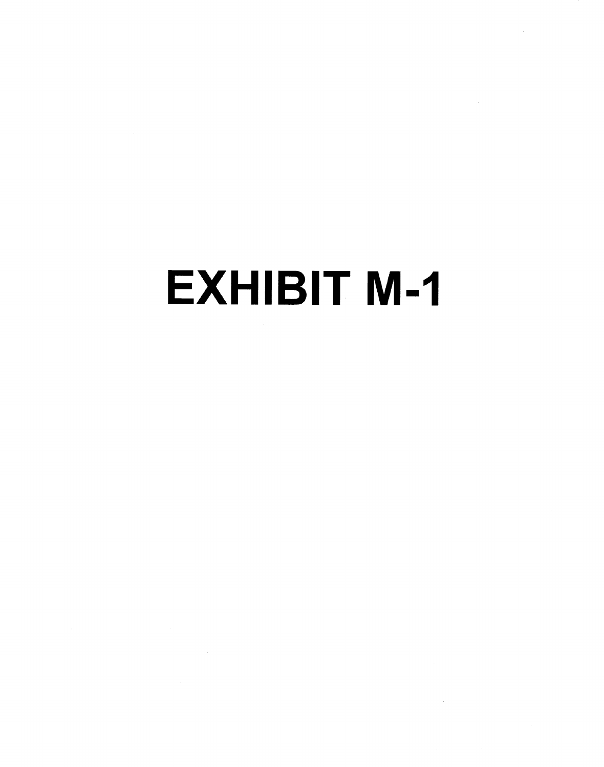# **EXHIBIT M-1**

 $\sim$   $\sim$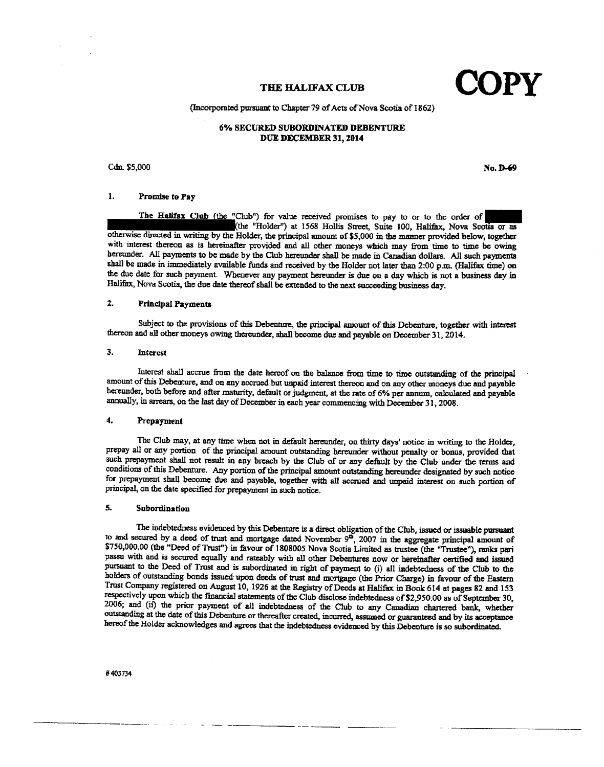**THE HALIFAX CLUB** 

(Incorporated pu:rsuant to Chapter 79 of *Acts* of Nova Scotia of 1862)

#### 6% SECURED SUBORDINATED DEBENTURE DUE DECEMBER 31, 2014

#### $C$ dn.  $$5,000$  No.  $D-6$

#### 1. Promise to Pay

The Halifax Club (the "Club") for value received promises to pay to or to the order of **•• I:tlbe** "Holder") at 1568 Hollis Street, Suite 100, Halifax. Nova SCOtia or as otherwise directed in writing by the Holder, the principal amount of \$5,000 in the manner provided below, together witb interest thereon as is hereinafter provided and all other moneys which may from time to time be owing hereunder. All payments to be made by the Club hereunder shall be made in Canadian dollars. All such payments shall be made in immediately available funds and received by the Holder not later than 2:00 p.m, (Halifax time) on the due date for such payment. Whenever any payment hereunder is due on a day which is not a business day in Halifax, Nova Scotia, the due date thereof shall be extended to the next succeeding business day.

#### 2. PrincipalPayments

Subject to the provisions of this Debenture, the principal amount of this Debenture, together with interest thereon and all other moneys Owing thereunder, shall become due and payable on December 31,2014.

#### :J. Interest

Interest shall accrue from the date hereof on the balance from time to time outstanding of the principal amount of this Debenture, and on any accrued but unpaid interest thereon and on my other moneys due and payable hereunder, both before and after maturity, default or judgment, at the rate of 6% per annum, calculated and payable annually, in arrears, on the last day of December in each year commencing with Decembec 31) 2008.

#### 4. Prepayment

The Club may, at any time when not in default hereunder, on thirty days' notice in writing to the Holder, prepay all or any portion of the principal amount outstanding hcreundcc without penalty or bonus, provided that such prepayment shall not result in any breach by the Club of or any default by the Club under the terms and conditions of this Debenture. Any portion of the principal amount outstanding hereunder designated by such notice for prepayment shall become due and payable, together wilh all accrued and unpaid interest on such portion of principal, on the date specified for prepayment in such notice.

#### 5. Subordination

The indebtedness evidenced by this Debenture is a direct obligation of the Club, issued or issuable pursuant to and secured by a deed of trust and mortgage dated November  $9^{\circ}$ , 2007 in the aggregate principal amount of \$750,000.00 (the "Deed of Trust") in favour of 1808005 Nova Scotia Limited as trustee (the "Trustee"), ranks pari passu with and is secured equally and rateably with all other Debentures now or hereinafter cenified and issued pursuant to the Deed of Trust and is subordinated in right of payment to (i) all indebtedness of the Club to the holders of outstanding bonds issued upon deeds of trust and mortgage (the Prior Charge) in favour of the Eastern Trust Company registered on August 10,1926 at the Registry of Deeds at Halifax in Book 614 at pages 82 and 153 respectively upon which the financial statements of the Club disclose indebtedness of \$2,950.00 as of September 30, 2006; and (ii) the prior payment of all indebtedness of the Club to any Canadian chartered bank, whether outstanding at the date of this Debenture or thereafter created, incurred, assumed or guaranteed and by its acceptance hereof the Holder acknowledges and agrees that the indebtedness evidenced by this Debenture is so subordinated.

------ -\_.\_--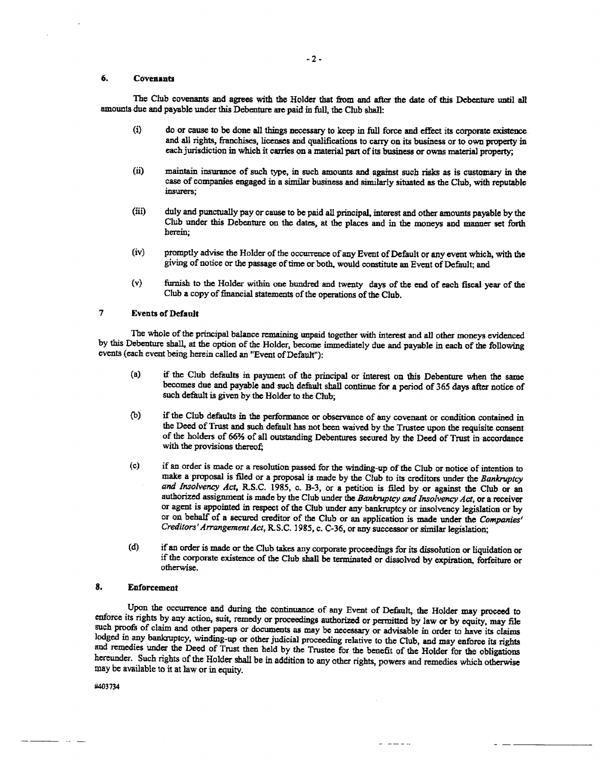#### 6. Covenants

The Club covenants and agrees with the Holder that from and after the date of this Debenture until all amounts due and payable under this Debenture are paid in full, the Club shall:

- (i) do or cause to be done all things necessary to keep in full force and effect its corporate existence. and all rights, franchises, licenses and qualifications to carry on its business or to own property in each jurisdiction in which it carries on a material part of its business or owns material property;
- (ii) maintain insurance of such type, in such amounts and against such risks as is customary in the case of companies engaged in a similar business and similarly situated as the Club, with reputable insurers;
- (iii) duly and punctually payor cause to be paid all principal. interest and other amounts payable by the Club under this Debenture on the dates, at the places and in the moneys and manner set forth herein;
- (iv) promptly advise the Holder of the occurrence of any Event of Default or any event which, with the giving of notice or the passage of time or both, would constitute an Event of Default; and
- (v) furnish to the Holder within one hundred and twenty days of the end of each fiscal year of the Club a copy of financial statements of the operations of the Club.

#### 7 Events of Default

The whole of the principal balance remaining unpaid together with interest and all other moneys evidenced by this Debenture shall, at the option of the Holder, become immediately due and payable in each of the following events (each event being herein called an "Event of Default"):

- (a) if the Club defaults in payment of the principal or interest on this Debenture when the same becomes due and payable and such default shall continue for a period of 365 days after notice of such default is given by the Holder to the Club;
- (b) if the Club defaults in the performance or observance of any covenant or condition contained in the Deed of Trust and such default has not been waived by the Trustee upon the requisite consent of the holders of 66% of all outstanding Debentures secured by the Deed of Trust in accordance with the provisions thereof;
- (c) if an order is made or a resolution passed for the winding-up of the Club or notice of intention to rnalce a proposal is filed or a proposal is made by the Club to its creditors under the *Bankruptcy and Insolvency Act,* R.S.C. 1985. c. B-3, or a petition is filed by or against the Club or an authorized assignment is made by the Club under the *Bankruptcy and Insolvency Act,* or a receiver or agent is appointed in respect of the Club under any bankruptcy or insolvency legislation or by or on behalf of a secured creditor of the Club or an application is made under the *Companies' Creditors' Arrangement Act,* R. S.C. ] 985. c. C- 36, or any successor or similar legislation;
- (d) if an order is made or the Club takes any corporate proceedings for its dissolution or liquidation or if the corporate existence of the Club shall be terminated or dissolved by expiration. forfeiture or otherwise.

 $- - - - -$ 

#### 8. Enforcement

Upon the occurrence and during the continuance of any Event of Default, the Holder may proceed to enforce its rights by any action, suit, remedy or proceedings authorized or permitted by law or by equity, may file such proofs of claim and other papers or documents as may be necessary or advisable in order to have its claims lodged in any bankruptcy, winding-up or other judicial proceeding relative to the Club, and may enforce its rights and remedies under the Deed of Trust then held by the Trustee for the benefit of the Holder for the obligations hereunder. Such rights of the Holder shall be in addition to any other rights, powers and remedies which otherwise may be available to it at law or in equity.

#403734

20 Mai 122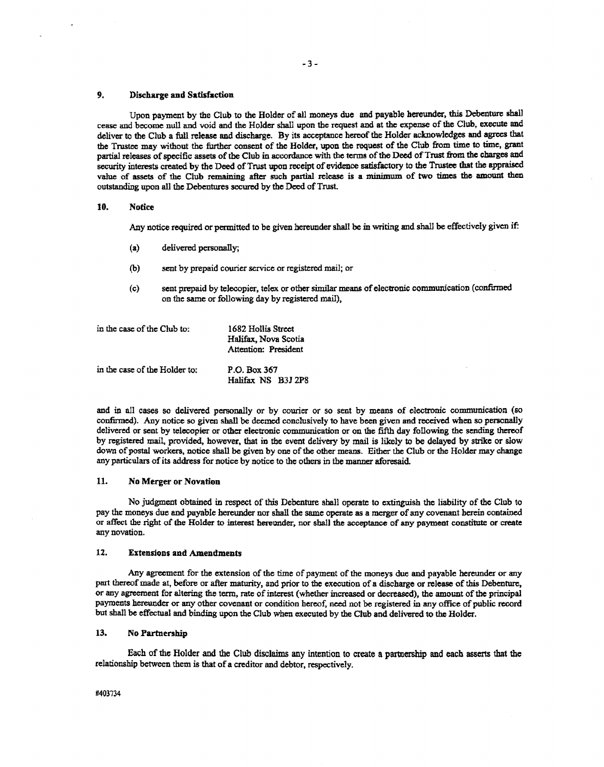#### 9. Discharge and Satisfaction

Upon payment by the Club to the Holder of all moneys due and payable hereunder, this Debenture shall cease:and become null and void and the Holder shall upon the request and at the expense of the Club, execute and deliver to the Club a full release aud discharge. By its acceptance hereof the Holder acknowledges and agrees that the Trustee may without the further consent of the Holder, upon the request of the Club from time to time, grant partial releases of specific assets of the Club in accordance with the terms of the Deed of Trust from the charges and security interests created by the Deed of Trust upon receipt of evidence satisfactory to the Trustee that the appraised value of assets of the Club remaining after such partial release is a minimum of two times the amount then outstanding upon all the Debentures secured by the Deed of Trust.

#### 10. Notice

Any notice required or permitted to be given hereunder shall be in writing and shall be effectively given if:

- (a) delivered personally;
- (b) sent by prepaid courier service or registered mail; or
- (c) sent prepaid by telecopier, telex or other similar means of electronic communication (confirmed on the same or following day by registered mail),

| in the case of the Club to:   | 1682 Hollis Street<br>Halifax, Nova Scotia<br><b>Attention: President</b> |
|-------------------------------|---------------------------------------------------------------------------|
| in the case of the Holder to: | P.O. Box 367<br>Halifax NS B3J 2P8                                        |

and in all cases so delivered personally or by courier or so sent by means of electronic communication (so confirmed). Any notice so given shall be deemed conclusively to have been given and received when so personally delivered or sent by telecopier or other electronic communication or on the fifth day following the sending thereof by registered mail, provided, however, that in the event delivery by mail is likely to be delayed by strike or slow down of postal workers, notice shall be given by one of the other means. Either the Club or the Holder may change any particulars of its address for notice by notice to the others in the manner aforesaid

#### 11. No Merger or Novation

No judgment obtained in respect of this Debenture shall operate to extinguish the liability of the Club to pay the moneys due and payable hereunder nor shall the same operate as a merger of any covenant berein contained or affect the right of the Holder to interest hereunder, nor sball the acceptance of any payment constitute or create any novation.

#### 12. Extensions and Amendments

Any agreement for the extension of the time of payment of the moneys due and payable hereunder or any part thereof made at, before or after maturity, and prior to the execution of a discharge or release of this Debenture, or any agreement for altering the term, rate of interest (whether increased or decreased), the amount of the principal payments hereunder or any other covenant or condition hereof, need not he registered in any office of public record but shall be effectual and binding upon the Club when executed by the Club and delivered to the Holder.

#### 13. No Partnership

Each of the Holder and the Club disclaims any intention to create a partnership and each asserts that the relationship between them is that of a creditor and debtor, respectively.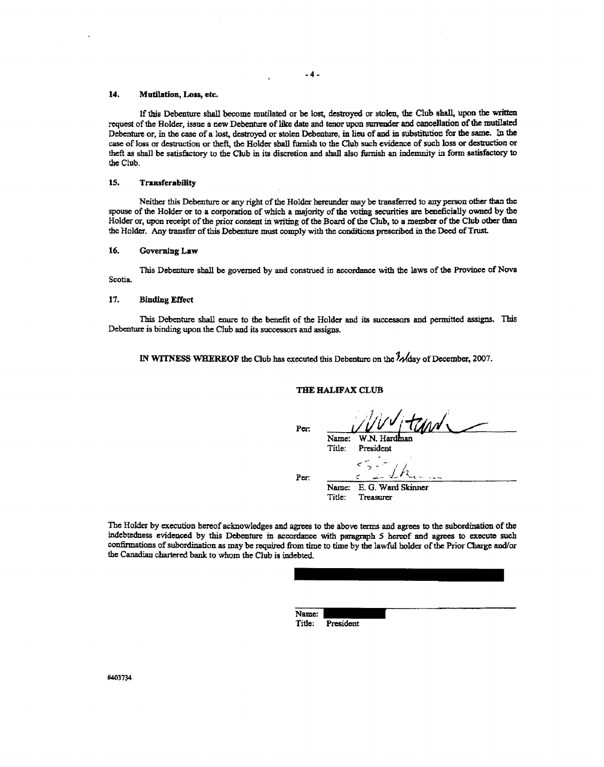#### 14. Mutilation, Loss, etc.

If this Debenture shall become mutilated or be lost, destroyed or stolen, the Club shall, upon the written request of the Holder, issue a new Debenture of like date and tenor upon surrender and canceJlation of the mutilated Debenture or, in the case of a lost, destroyed or stolen Debenture, in lieu of and in substitution for the same. In the case of loss or destruction or theft, the Holder shall furnish to the Club such evidence of such loss or destruction or theft as shall be satisfactory to the Club in its discretion and shall also furnish an indemnity in form satisfactory to thcClub.

#### 15. Transferability

Neither this Debenture or any right of the Holder hereunder may be transferred to any person other than the spouse of the Holder or to a corporation of which a majority of the voting securities are beneficially owned by the Holder or, upon receipt of the prior consent in writing of the Board of the Club, to a member of the Club other than the Holder. Any transfer of this Debenture must comply with the conditions prescribed in the Deed of Trust.

#### 16. Governing Law

This Debenture shall be governed by and construed in accordance with the laws of the Province of Nova Scotia.

#### 17. Binding Effect

This Debenture shall enure to the benefit of the Holder and its successors and permitted assigns. This Debenture is binding upon the Club and its successors and assigns,

IN WITNESS WHEREOF the Club has executed this Debenture on the  $\frac{3}{4}$  Mday of December, 2007.

#### THE HALIFAX CLUB

Name: W.N. Hardman Title: President

¢

Per:

Per.

Name: E. O. Ward Skinner Title: Treasurer

The Holder by execution hereof acknowledges and agrees to the above terms and agrees to the subordination of the indebtedness evidenced by this Debenture in accordance with paragraph 5 hereof and agrees to execute such confirmations of subordination as may be required from time to time by the lawful holder of the Prior Charge and/or the Canadian chartered bank to whom the Club is indebted.

| Name:  |           |  |  |
|--------|-----------|--|--|
| Title: | President |  |  |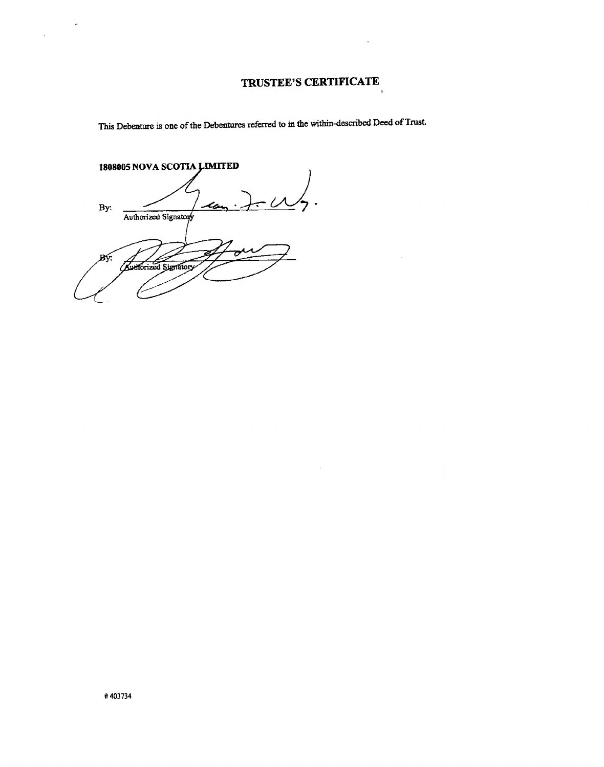# **TRUSTEE'S CERTIFICATE**

This Debenture is one of the Debentures referred to in the within-described Deed of Trust

1808005 NOVA SCOTIA LIMITED *uJ.* By: Authorized Signatory Bý. **Authorized Signatory** 

 $\mathbb{Z}^2$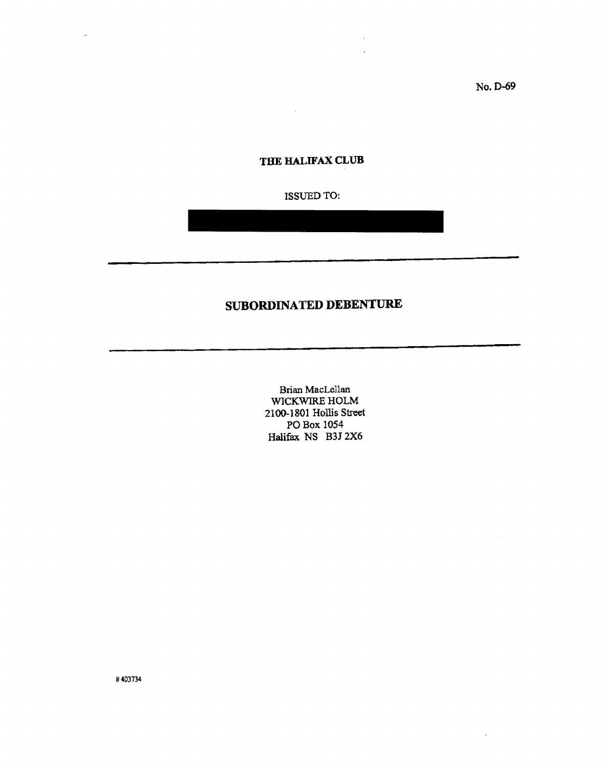No. 0-69

 $\bar{z}$ 

## **THE HALIFAX CLUB**

 $\mathcal{L}_{\mathcal{A}}$ 

### ISSUED TO:

# **SUBORDINATED DEBENTURE**

Brian MacLellan WICKWIRE HOLM 2100-1801 Hollis Street POBox 1054 Halifax NS B3J 2X6

11403734

 $\alpha$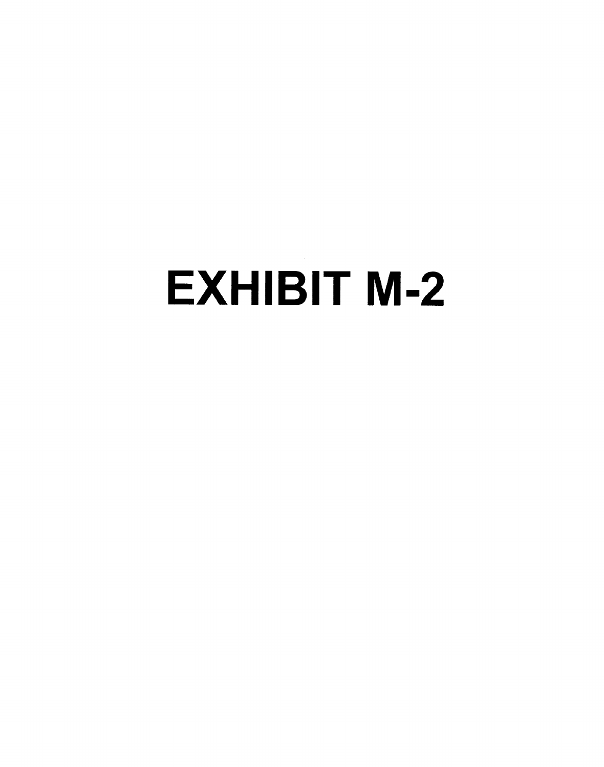# EXHIBIT M-2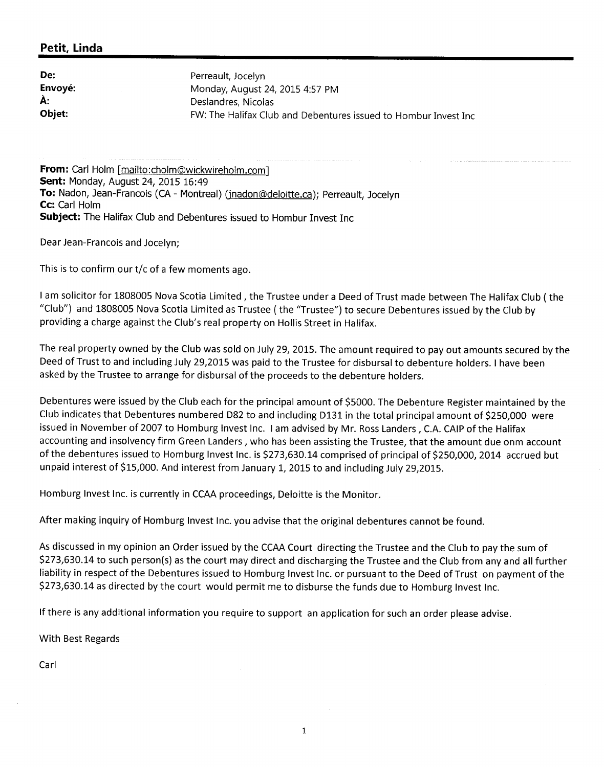# **Petit, Linda**

| De:           | Perreault, Jocelyn                                              |
|---------------|-----------------------------------------------------------------|
| Envoyé:       | Monday, August 24, 2015 4:57 PM                                 |
| À:            | Deslandres, Nicolas                                             |
| <b>Objet:</b> | FW: The Halifax Club and Debentures issued to Hombur Invest Inc |

**From:** Carl Holm [mailto:cholm@wickwireholm.com] **Sent:** Monday, August 24, 2015 16:49 To: Nadon, Jean-Francois (CA - Montreal) (jnadon@deloitte.ca); Perreault, Jocelyn **Cc:** Carl Holm **Subject:** The Halifax Club and Debentures issued to Hombur Invest Inc

Dear Jean-Francois and Jocelyn;

This is to confirm our *t*/c of a few moments ago.

I am solicitor for 1808005 Nova Scotia Limited, the Trustee under a Deed of Trust made between The Halifax Club ( the "Club") and 1808005 Nova Scotia Limited as Trustee ( the "Trustee") to secure Debentures issued by the Club by providing a charge against the Club's real property on Hollis Street in Halifax.

The real property owned by the Club was sold on July 29,2015. The amount required to payout amounts secured by the Deed of Trust to and including July 29,2015 was paid to the Trustee for disbursal to debenture holders. I have been asked by the Trustee to arrange for disbursal of the proceeds to the debenture holders.

Debentures were issued by the Club each for the principal amount of \$5000. The Debenture Register maintained by the Club indicates that Debentures numbered D82 to and including D131 in the total principal amount of \$250,000 were issued in November of 2007 to Homburg Invest Inc. I am advised by Mr. Ross Landers, C.A. CAIP of the Halifax accounting and insolvency firm Green Landers, who has been assisting the Trustee, that the amount due onm account of the debentures issued to Homburg Invest Inc. is \$273,630.14 comprised of principal of \$250,000, 2014 accrued but unpaid interest of \$15,000. And interest from January 1, 2015 to and including July 29,2015.

Homburg Invest Inc. is currently in CCAA proceedings, Deloitte is the Monitor.

After making inquiry of Homburg Invest Inc. you advise that the original debentures cannot be found.

As discussed in my opinion an Order issued by the CCAA Court directing the Trustee and the Club to pay the sum of \$273,630.14 to such person(s) as the court may direct and discharging the Trustee and the Club from any and all further liability in respect of the Debentures issued to Homburg Invest Inc. or pursuant to the Deed of Trust on payment of the \$273,630.14 as directed by the court would permit me to disburse the funds due to Homburg Invest Inc.

If there is any additional information you require to support an application for such an order please advise.

With Best Regards

Carl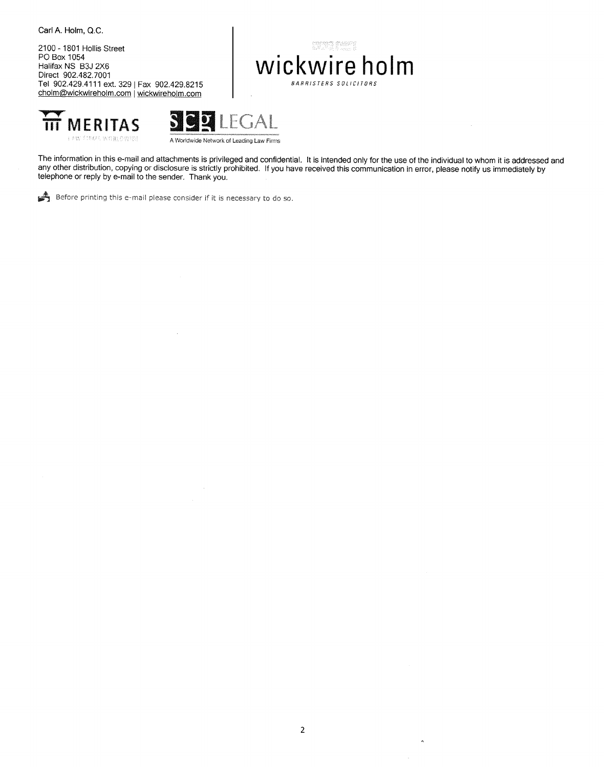Carl A. Holm, Q.C.

2100 - 1801 Hollis Street PO Box 1054 Halifax NS B3J 2X6 Direct 902.482.7001 Tel 902.429.4111 ext. 3291 Fax 902.429.8215 [cholm@wickwireholm.com](mailto:cholm@wickwireholm.com) | wickwireholm.com

# **wickwire holm** *BARRISTERS SOLICITORS*





The information in this e-mail and attachments is privileged and confidential. It is intended only for the use of the individual to whom it is addressed and any other distribution, copying or disclosure is strictly prohibited. If you have received this communication in error, please notify us immediately by telephone or reply by e-mail to the sender. Thank you.

~ Before printing this e-mail please consider if it is necessary to do so.

 $\bar{a}$